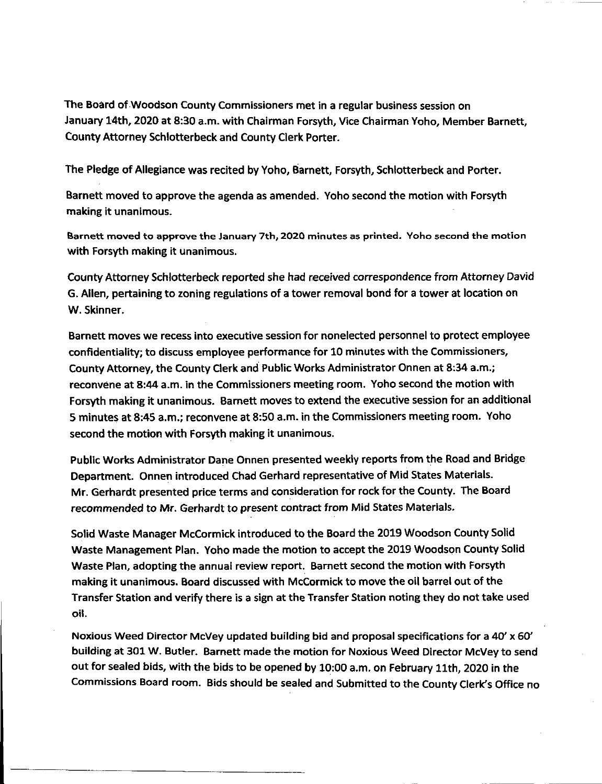The Board of Woodson County Commissioners met in a regular business session on January 14th, 2020 at 8:30 a.m. with Chairman Forsyth, Vice Chairman Yoho, Member Barnett, CountyAttorney Schlotterbeck and County Clerk Porter.

The Pledge of Allegiance was recited by Yoho, Barnett, Forsyth, Schlotterbeck and Porter.

Barnett moved to approve the agenda as amended. Yoho second the motion with Forsyth making it unanimous.

**Barnett moved to approve the January 7th, 2020 minutes as printed. Yoho second the motion** with Forsyth making it unanimous.

County Attorney Schlotterbeck reported she had received correspondence from Attorney David G. Allen, pertaining to zoning regulations of a tower removal bond for a tower at location on W. Skinner.

Barnett moves we recess into executive session for nonelected personnel to protect employee confidentiality; to discuss employee performance for 10 minutes with the Commissioners, County Attorney, the County Clerk and Public Works Administrator Onnen at 8:34 a.m.; reconvene at 8:44 a.m. in the Commissioners meeting room. Yoho second the motion with Forsyth making it unanimous. Barnett moves to extend the executive session for an additional 5 minutes at 8:45 a.m.; reconvene at 8:50 a.m. in the Commissioners meeting room. Yoho second the motion with Forsyth making it unanimous.

Public Works Administrator Dane Onnen presented weekly reports from the Road and Bridge Department. Onnen introduced Chad Gerhard representative of Mid States Materials. Mr. Gerhardt presented price terms and consideration for rock for the County. The Board recommended to Mr. Gerhardt to present contract from Mid States Materials.

Solid Waste Manager McCormick introduced to the Board the 2019 Woodson County Solid Waste Management Plan. Yoho made the motion to accept the 2019 Woodson County Solid Waste Plan, adopting the annual review report. Barnett second the motion with Forsyth making it unanimous. Board discussed with McCormick to move the oil barrel out of the Transfer Station and verify there is a sign at the Transfer Station noting they do not take used oil.

Noxious Weed Director McVey updated building bid and proposal specifications for a 40' x 60' building at 301W. Butler. Barnett made the motion for Noxious Weed Director McVey to send out for sealed bids, with the bids to be opened by 10:00 a.m. on February 11th, 2020 in the Commissions Board room. Bids should be sealed and Submitted to the County Clerk's Office no